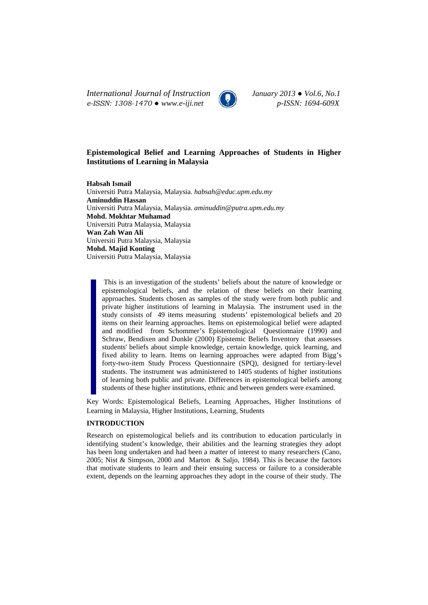*International Journal of Instruction January 2013 ● Vol.6, No.1 e-ISSN: 1308-1470 ● www.e-iji.net p-ISSN: 1694-609X*



# **Epistemological Belief and Learning Approaches of Students in Higher Institutions of Learning in Malaysia**

**Habsah Ismail** Universiti Putra Malaysia, Malaysia. *habsah@educ.upm.edu.my*  **Aminuddin Hassan**  Universiti Putra Malaysia, Malaysia. *aminuddin@putra.upm.edu.my*  **Mohd. Mokhtar Muhamad**  Universiti Putra Malaysia, Malaysia **Wan Zah Wan Ali**  Universiti Putra Malaysia, Malaysia **Mohd. Majid Konting**  Universiti Putra Malaysia, Malaysia

This is an investigation of the students' beliefs about the nature of knowledge or epistemological beliefs, and the relation of these beliefs on their learning approaches. Students chosen as samples of the study were from both public and private higher institutions of learning in Malaysia. The instrument used in the study consists of 49 items measuring students' epistemological beliefs and 20 items on their learning approaches. Items on epistemological belief were adapted and modified from Schommer's Epistemological Questionnaire (1990) and Schraw, Bendixen and Dunkle (2000) Epistemic Beliefs Inventory that assesses students' beliefs about simple knowledge, certain knowledge, quick learning, and fixed ability to learn. Items on learning approaches were adapted from Bigg's forty-two-item Study Process Questionnaire (SPQ), designed for tertiary-level students. The instrument was administered to 1405 students of higher institutions of learning both public and private. Differences in epistemological beliefs among students of these higher institutions, ethnic and between genders were examined.

Key Words: Epistemological Beliefs, Learning Approaches, Higher Institutions of Learning in Malaysia, Higher Institutions, Learning, Students

## **INTRODUCTION**

Research on epistemological beliefs and its contribution to education particularly in identifying student's knowledge, their abilities and the learning strategies they adopt has been long undertaken and had been a matter of interest to many researchers (Cano, 2005; Nist & Simpson, 2000 and Marton & Saljo, 1984). This is because the factors that motivate students to learn and their ensuing success or failure to a considerable extent, depends on the learning approaches they adopt in the course of their study. The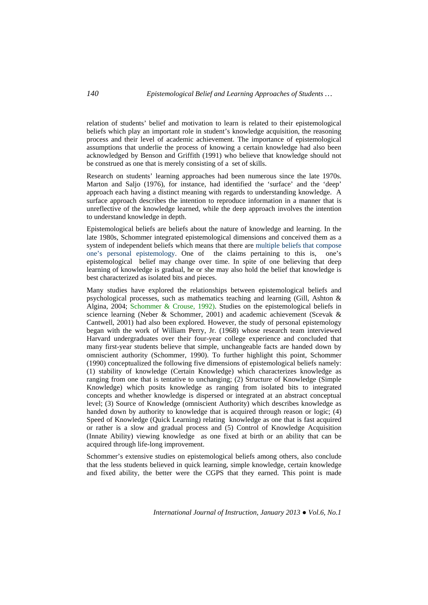relation of students' belief and motivation to learn is related to their epistemological beliefs which play an important role in student's knowledge acquisition, the reasoning process and their level of academic achievement. The importance of epistemological assumptions that underlie the process of knowing a certain knowledge had also been acknowledged by Benson and Griffith (1991) who believe that knowledge should not be construed as one that is merely consisting of a set of skills.

Research on students' learning approaches had been numerous since the late 1970s. Marton and Saljo (1976), for instance, had identified the 'surface' and the 'deep' approach each having a distinct meaning with regards to understanding knowledge. A surface approach describes the intention to reproduce information in a manner that is unreflective of the knowledge learned, while the deep approach involves the intention to understand knowledge in depth.

Epistemological beliefs are beliefs about the nature of knowledge and learning. In the late 1980s, Schommer integrated epistemological dimensions and conceived them as a system of independent beliefs which means that there are multiple beliefs that compose one's personal epistemology. One of the claims pertaining to this is, one's epistemological belief may change over time. In spite of one believing that deep learning of knowledge is gradual, he or she may also hold the belief that knowledge is best characterized as isolated bits and pieces.

Many studies have explored the relationships between epistemological beliefs and psychological processes, such as mathematics teaching and learning (Gill, Ashton & Algina, 2004; Schommer & Crouse, 1992). Studies on the epistemological beliefs in science learning (Neber & Schommer, 2001) and academic achievement (Scevak & Cantwell, 2001) had also been explored. However, the study of personal epistemology began with the work of William Perry, Jr. (1968) whose research team interviewed Harvard undergraduates over their four-year college experience and concluded that many first-year students believe that simple, unchangeable facts are handed down by omniscient authority (Schommer, 1990). To further highlight this point, Schommer (1990) conceptualized the following five dimensions of epistemological beliefs namely: (1) stability of knowledge (Certain Knowledge) which characterizes knowledge as ranging from one that is tentative to unchanging; (2) Structure of Knowledge (Simple Knowledge) which posits knowledge as ranging from isolated bits to integrated concepts and whether knowledge is dispersed or integrated at an abstract conceptual level; (3) Source of Knowledge (omniscient Authority) which describes knowledge as handed down by authority to knowledge that is acquired through reason or logic; (4) Speed of Knowledge (Quick Learning) relating knowledge as one that is fast acquired or rather is a slow and gradual process and (5) Control of Knowledge Acquisition (Innate Ability) viewing knowledge as one fixed at birth or an ability that can be acquired through life-long improvement.

Schommer's extensive studies on epistemological beliefs among others, also conclude that the less students believed in quick learning, simple knowledge, certain knowledge and fixed ability, the better were the CGPS that they earned. This point is made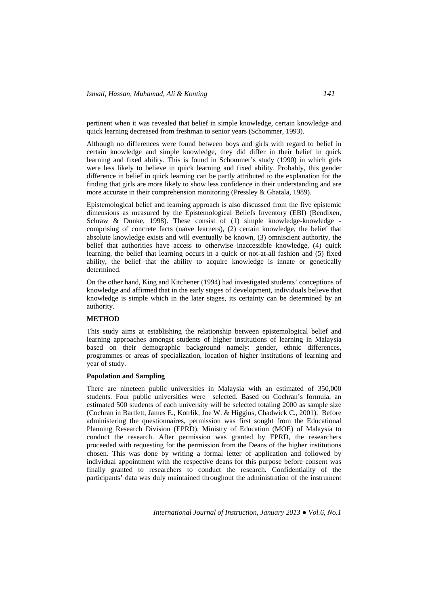pertinent when it was revealed that belief in simple knowledge, certain knowledge and quick learning decreased from freshman to senior years (Schommer, 1993).

Although no differences were found between boys and girls with regard to belief in certain knowledge and simple knowledge, they did differ in their belief in quick learning and fixed ability. This is found in Schommer's study (1990) in which girls were less likely to believe in quick learning and fixed ability. Probably, this gender difference in belief in quick learning can be partly attributed to the explanation for the finding that girls are more likely to show less confidence in their understanding and are more accurate in their comprehension monitoring (Pressley & Ghatala, 1989).

Epistemological belief and learning approach is also discussed from the five epistemic dimensions as measured by the Epistemological Beliefs Inventory (EBI) (Bendixen, Schraw & Dunke, 1998). These consist of (1) simple knowledge-knowledge comprising of concrete facts (naïve learners), (2) certain knowledge, the belief that absolute knowledge exists and will eventually be known, (3) omniscient authority, the belief that authorities have access to otherwise inaccessible knowledge, (4) quick learning, the belief that learning occurs in a quick or not-at-all fashion and (5) fixed ability, the belief that the ability to acquire knowledge is innate or genetically determined.

On the other hand, King and Kitchener (1994) had investigated students' conceptions of knowledge and affirmed that in the early stages of development, individuals believe that knowledge is simple which in the later stages, its certainty can be determined by an authority.

## **METHOD**

This study aims at establishing the relationship between epistemological belief and learning approaches amongst students of higher institutions of learning in Malaysia based on their demographic background namely: gender, ethnic differences, programmes or areas of specialization, location of higher institutions of learning and year of study.

## **Population and Sampling**

There are nineteen public universities in Malaysia with an estimated of 350,000 students. Four public universities were selected. Based on Cochran's formula, an estimated 500 students of each university will be selected totaling 2000 as sample size (Cochran in Bartlett, James E., Kotrlik, Joe W. & Higgins, Chadwick C., 2001). Before administering the questionnaires, permission was first sought from the Educational Planning Research Division (EPRD), Ministry of Education (MOE) of Malaysia to conduct the research. After permission was granted by EPRD, the researchers proceeded with requesting for the permission from the Deans of the higher institutions chosen. This was done by writing a formal letter of application and followed by individual appointment with the respective deans for this purpose before consent was finally granted to researchers to conduct the research. Confidentiality of the participants' data was duly maintained throughout the administration of the instrument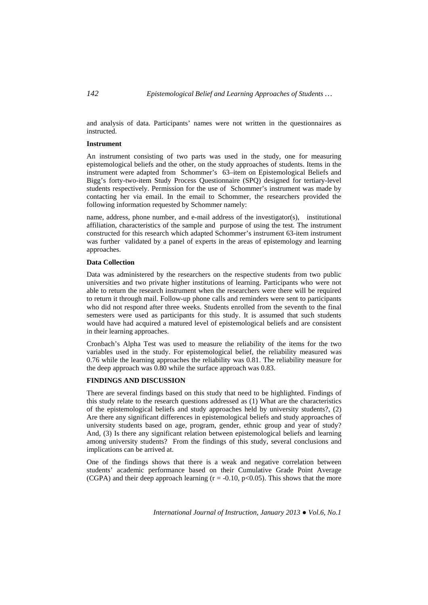and analysis of data. Participants' names were not written in the questionnaires as instructed.

### **Instrument**

An instrument consisting of two parts was used in the study, one for measuring epistemological beliefs and the other, on the study approaches of students. Items in the instrument were adapted from Schommer's 63–item on Epistemological Beliefs and Bigg's forty-two-item Study Process Questionnaire (SPQ) designed for tertiary-level students respectively. Permission for the use of Schommer's instrument was made by contacting her via email. In the email to Schommer, the researchers provided the following information requested by Schommer namely:

name, address, phone number, and e-mail address of the investigator(s), institutional affiliation, characteristics of the sample and purpose of using the test. The instrument constructed for this research which adapted Schommer's instrument 63-item instrument was further validated by a panel of experts in the areas of epistemology and learning approaches.

#### **Data Collection**

Data was administered by the researchers on the respective students from two public universities and two private higher institutions of learning. Participants who were not able to return the research instrument when the researchers were there will be required to return it through mail. Follow-up phone calls and reminders were sent to participants who did not respond after three weeks. Students enrolled from the seventh to the final semesters were used as participants for this study. It is assumed that such students would have had acquired a matured level of epistemological beliefs and are consistent in their learning approaches.

Cronbach's Alpha Test was used to measure the reliability of the items for the two variables used in the study. For epistemological belief, the reliability measured was 0.76 while the learning approaches the reliability was 0.81. The reliability measure for the deep approach was 0.80 while the surface approach was 0.83.

## **FINDINGS AND DISCUSSION**

There are several findings based on this study that need to be highlighted. Findings of this study relate to the research questions addressed as (1) What are the characteristics of the epistemological beliefs and study approaches held by university students?, (2) Are there any significant differences in epistemological beliefs and study approaches of university students based on age, program, gender, ethnic group and year of study? And, (3) Is there any significant relation between epistemological beliefs and learning among university students? From the findings of this study, several conclusions and implications can be arrived at.

One of the findings shows that there is a weak and negative correlation between students' academic performance based on their Cumulative Grade Point Average (CGPA) and their deep approach learning  $(r = -0.10, p < 0.05)$ . This shows that the more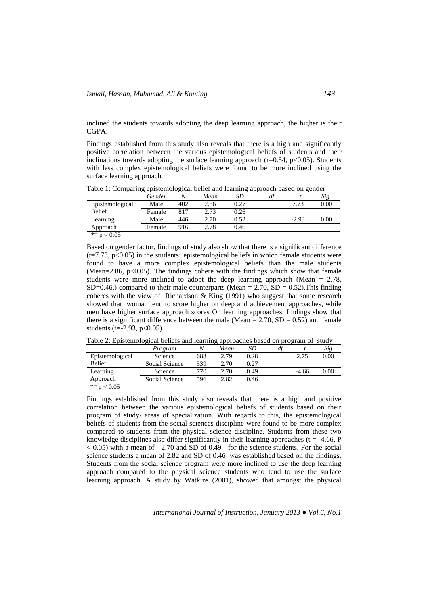inclined the students towards adopting the deep learning approach, the higher is their CGPA.

Findings established from this study also reveals that there is a high and significantly positive correlation between the various epistemological beliefs of students and their inclinations towards adopting the surface learning approach ( $r=0.54$ ,  $p<0.05$ ). Students with less complex epistemological beliefs were found to be more inclined using the surface learning approach.

|                 | Gender | N   | Mean | SD   | df |         | Sig  |
|-----------------|--------|-----|------|------|----|---------|------|
| Epistemological | Male   | 402 | 2.86 | 0.27 |    | 7.73    | 0.00 |
| <b>Belief</b>   | Female | 817 | 2.73 | 0.26 |    |         |      |
| Learning        | Male   | 446 | 2.70 | 0.52 |    | $-2.93$ | 0.00 |
| Approach        | Female | 916 | 2.78 | 0.46 |    |         |      |
| ** $p < 0.05$   |        |     |      |      |    |         |      |

Table 1: Comparing epistemological belief and learning approach based on gender

Based on gender factor, findings of study also show that there is a significant difference  $(t=7.73, p<0.05)$  in the students' epistemological beliefs in which female students were found to have a more complex epistemological beliefs than the male students (Mean=2.86,  $p<0.05$ ). The findings cohere with the findings which show that female students were more inclined to adopt the deep learning approach (Mean = 2.78, SD=0.46.) compared to their male counterparts (Mean =  $2.70$ , SD = 0.52). This finding coheres with the view of Richardson & King (1991) who suggest that some research showed that woman tend to score higher on deep and achievement approaches, while men have higher surface approach scores On learning approaches, findings show that there is a significant difference between the male (Mean =  $2.70$ , SD =  $0.52$ ) and female students (t= $-2.93$ , p< $0.05$ ).

Table 2: Epistemological beliefs and learning approaches based on program of study

|                                     | Program        |     | Mean | SD   |         | Sig  |
|-------------------------------------|----------------|-----|------|------|---------|------|
| Epistemological                     | Science        | 683 | 2.79 | 0.28 | 2.75    | 0.00 |
| <b>Belief</b>                       | Social Science | 539 | 2.70 | 0.27 |         |      |
| Learning                            | Science        | 770 | 2.70 | 0.49 | $-4.66$ | 0.00 |
| Approach                            | Social Science | 596 | 2.82 | 0.46 |         |      |
| $1.1 - 1.1$<br>$\sim$ $\sim$ $\sim$ |                |     |      |      |         |      |

\*\*  $p < 0.05$ 

Findings established from this study also reveals that there is a high and positive correlation between the various epistemological beliefs of students based on their program of study/ areas of specialization. With regards to this, the epistemological beliefs of students from the social sciences discipline were found to be more complex compared to students from the physical science discipline. Students from these two knowledge disciplines also differ significantly in their learning approaches ( $t = -4.66$ , P  $< 0.05$ ) with a mean of 2.70 and SD of 0.49 for the science students. For the social science students a mean of 2.82 and SD of 0.46 was established based on the findings. Students from the social science program were more inclined to use the deep learning approach compared to the physical science students who tend to use the surface learning approach. A study by Watkins (2001), showed that amongst the physical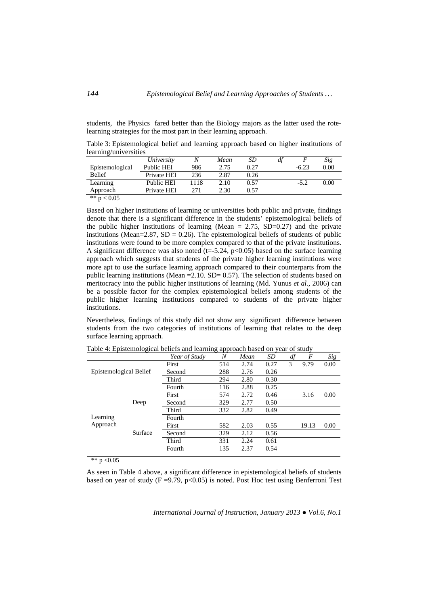students, the Physics fared better than the Biology majors as the latter used the rotelearning strategies for the most part in their learning approach.

Table 3: Epistemological belief and learning approach based on higher institutions of learning/universities

|                 | University        |      | Mean | SD   | dt |         | Sig  |
|-----------------|-------------------|------|------|------|----|---------|------|
| Epistemological | Public HEI        | 986  | 2.75 | 0.27 |    | $-6.23$ | 0.00 |
| <b>Belief</b>   | Private HEI       | 236  | 2.87 | 0.26 |    |         |      |
| Learning        | <b>Public HEI</b> | 1118 | 2.10 | 0.57 |    | $-5.2$  | 0.00 |
| Approach        | Private HEI       | 271  | 2.30 | 0.57 |    |         |      |
| ** $p < 0.05$   |                   |      |      |      |    |         |      |

Based on higher institutions of learning or universities both public and private, findings denote that there is a significant difference in the students' epistemological beliefs of the public higher institutions of learning (Mean  $= 2.75$ , SD=0.27) and the private institutions (Mean=2.87, SD = 0.26). The epistemological beliefs of students of public institutions were found to be more complex compared to that of the private institutions. A significant difference was also noted (t=-5.24,  $p<0.05$ ) based on the surface learning approach which suggests that students of the private higher learning institutions were more apt to use the surface learning approach compared to their counterparts from the public learning institutions (Mean  $=$  2.10. SD $=$  0.57). The selection of students based on meritocracy into the public higher institutions of learning (Md. Yunus *et al.,* 2006) can be a possible factor for the complex epistemological beliefs among students of the public higher learning institutions compared to students of the private higher institutions.

Nevertheless, findings of this study did not show any significant difference between students from the two categories of institutions of learning that relates to the deep surface learning approach.

|                        |         | Year of Study | N   | Mean | SD   | df | $\boldsymbol{F}$ | Sig  |
|------------------------|---------|---------------|-----|------|------|----|------------------|------|
| Epistemological Belief |         | First         | 514 | 2.74 | 0.27 | 3  | 9.79             | 0.00 |
|                        |         | Second        | 288 | 2.76 | 0.26 |    |                  |      |
|                        |         | Third         | 294 | 2.80 | 0.30 |    |                  |      |
|                        |         | Fourth        | 116 | 2.88 | 0.25 |    |                  |      |
| Learning<br>Approach   |         | First         | 574 | 2.72 | 0.46 |    | 3.16             | 0.00 |
|                        | Deep    | Second        | 329 | 2.77 | 0.50 |    |                  |      |
|                        |         | Third         | 332 | 2.82 | 0.49 |    |                  |      |
|                        |         | Fourth        |     |      |      |    |                  |      |
|                        |         | First         | 582 | 2.03 | 0.55 |    | 19.13            | 0.00 |
|                        | Surface | Second        | 329 | 2.12 | 0.56 |    |                  |      |
|                        |         | Third         | 331 | 2.24 | 0.61 |    |                  |      |
|                        |         | Fourth        | 135 | 2.37 | 0.54 |    |                  |      |

Table 4: Epistemological beliefs and learning approach based on year of study

\*\*  $p < 0.05$ 

As seen in Table 4 above, a significant difference in epistemological beliefs of students based on year of study  $(F = 9.79, p < 0.05)$  is noted. Post Hoc test using Benferroni Test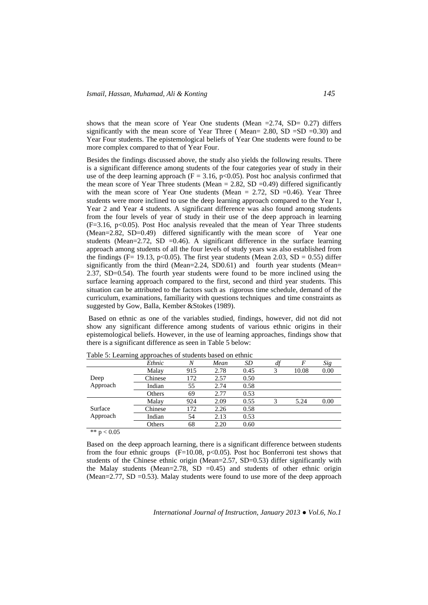shows that the mean score of Year One students (Mean  $=2.74$ , SD $= 0.27$ ) differs significantly with the mean score of Year Three (Mean=  $2.80$ , SD =SD =0.30) and Year Four students. The epistemological beliefs of Year One students were found to be more complex compared to that of Year Four.

Besides the findings discussed above, the study also yields the following results. There is a significant difference among students of the four categories year of study in their use of the deep learning approach ( $F = 3.16$ , p<0.05). Post hoc analysis confirmed that the mean score of Year Three students (Mean = 2.82, SD = 0.49) differed significantly with the mean score of Year One students (Mean =  $2.72$ , SD = 0.46). Year Three students were more inclined to use the deep learning approach compared to the Year 1, Year 2 and Year 4 students. A significant difference was also found among students from the four levels of year of study in their use of the deep approach in learning  $(F=3.16, p<0.05)$ . Post Hoc analysis revealed that the mean of Year Three students (Mean=2.82, SD=0.49) differed significantly with the mean score of Year one students (Mean=2.72, SD =0.46). A significant difference in the surface learning approach among students of all the four levels of study years was also established from the findings (F= 19.13, p<0.05). The first year students (Mean 2.03, SD = 0.55) differ significantly from the third (Mean=2.24, SD0.61) and fourth year students (Mean= 2.37, SD=0.54). The fourth year students were found to be more inclined using the surface learning approach compared to the first, second and third year students. This situation can be attributed to the factors such as rigorous time schedule, demand of the curriculum, examinations, familiarity with questions techniques and time constraints as suggested by Gow, Balla, Kember &Stokes (1989).

 Based on ethnic as one of the variables studied, findings, however, did not did not show any significant difference among students of various ethnic origins in their epistemological beliefs. However, in the use of learning approaches, findings show that there is a significant difference as seen in Table 5 below:

|                     | Ethnic  | $\overline{N}$ | Mean | SD   | df | F     | Sig  |
|---------------------|---------|----------------|------|------|----|-------|------|
|                     | Malay   | 915            | 2.78 | 0.45 | 3  | 10.08 | 0.00 |
| Deep                | Chinese | 172            | 2.57 | 0.50 |    |       |      |
| Approach            | Indian  | 55             | 2.74 | 0.58 |    |       |      |
|                     | Others  | 69             | 2.77 | 0.53 |    |       |      |
| Surface<br>Approach | Malay   | 924            | 2.09 | 0.55 | 3  | 5.24  | 0.00 |
|                     | Chinese | 172            | 2.26 | 0.58 |    |       |      |
|                     | Indian  | 54             | 2.13 | 0.53 |    |       |      |
|                     | Others  | 68             | 2.20 | 0.60 |    |       |      |

Table 5: Learning approaches of students based on ethnic

\*\*  $p < 0.05$ 

Based on the deep approach learning, there is a significant difference between students from the four ethnic groups ( $F=10.08$ ,  $p<0.05$ ). Post hoc Bonferroni test shows that students of the Chinese ethnic origin (Mean=2.57, SD=0.53) differ significantly with the Malay students (Mean=2.78,  $SD = 0.45$ ) and students of other ethnic origin (Mean= $2.77$ , SD = $0.53$ ). Malay students were found to use more of the deep approach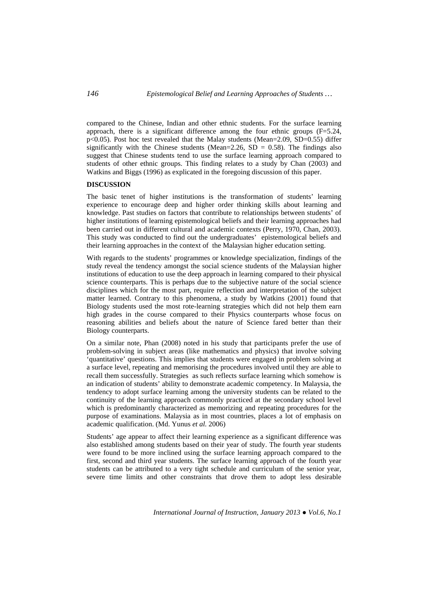compared to the Chinese, Indian and other ethnic students. For the surface learning approach, there is a significant difference among the four ethnic groups  $(F=5.24)$ . p<0.05). Post hoc test revealed that the Malay students (Mean=2.09, SD=0.55) differ significantly with the Chinese students (Mean=2.26,  $SD = 0.58$ ). The findings also suggest that Chinese students tend to use the surface learning approach compared to students of other ethnic groups. This finding relates to a study by Chan (2003) and Watkins and Biggs (1996) as explicated in the foregoing discussion of this paper.

## **DISCUSSION**

The basic tenet of higher institutions is the transformation of students' learning experience to encourage deep and higher order thinking skills about learning and knowledge. Past studies on factors that contribute to relationships between students' of higher institutions of learning epistemological beliefs and their learning approaches had been carried out in different cultural and academic contexts (Perry, 1970, Chan, 2003). This study was conducted to find out the undergraduates' epistemological beliefs and their learning approaches in the context of the Malaysian higher education setting.

With regards to the students' programmes or knowledge specialization, findings of the study reveal the tendency amongst the social science students of the Malaysian higher institutions of education to use the deep approach in learning compared to their physical science counterparts. This is perhaps due to the subjective nature of the social science disciplines which for the most part, require reflection and interpretation of the subject matter learned. Contrary to this phenomena, a study by Watkins (2001) found that Biology students used the most rote-learning strategies which did not help them earn high grades in the course compared to their Physics counterparts whose focus on reasoning abilities and beliefs about the nature of Science fared better than their Biology counterparts.

On a similar note, Phan (2008) noted in his study that participants prefer the use of problem-solving in subject areas (like mathematics and physics) that involve solving 'quantitative' questions. This implies that students were engaged in problem solving at a surface level, repeating and memorising the procedures involved until they are able to recall them successfully. Strategies as such reflects surface learning which somehow is an indication of students' ability to demonstrate academic competency. In Malaysia, the tendency to adopt surface learning among the university students can be related to the continuity of the learning approach commonly practiced at the secondary school level which is predominantly characterized as memorizing and repeating procedures for the purpose of examinations. Malaysia as in most countries, places a lot of emphasis on academic qualification. (Md. Yunus *et al.* 2006)

Students' age appear to affect their learning experience as a significant difference was also established among students based on their year of study. The fourth year students were found to be more inclined using the surface learning approach compared to the first, second and third year students. The surface learning approach of the fourth year students can be attributed to a very tight schedule and curriculum of the senior year, severe time limits and other constraints that drove them to adopt less desirable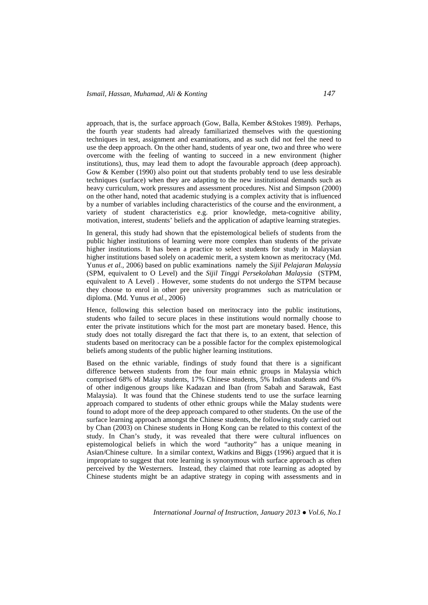approach, that is, the surface approach (Gow, Balla, Kember &Stokes 1989). Perhaps, the fourth year students had already familiarized themselves with the questioning techniques in test, assignment and examinations, and as such did not feel the need to use the deep approach. On the other hand, students of year one, two and three who were overcome with the feeling of wanting to succeed in a new environment (higher institutions), thus, may lead them to adopt the favourable approach (deep approach). Gow & Kember (1990) also point out that students probably tend to use less desirable techniques (surface) when they are adapting to the new institutional demands such as heavy curriculum, work pressures and assessment procedures. Nist and Simpson (2000) on the other hand, noted that academic studying is a complex activity that is influenced by a number of variables including characteristics of the course and the environment, a variety of student characteristics e.g. prior knowledge, meta-cognitive ability, motivation, interest, students' beliefs and the application of adaptive learning strategies.

In general, this study had shown that the epistemological beliefs of students from the public higher institutions of learning were more complex than students of the private higher institutions. It has been a practice to select students for study in Malaysian higher institutions based solely on academic merit, a system known as meritocracy (Md. Yunus *et al.,* 2006) based on public examinations namely the *Sijil Pelajaran Malaysia*  (SPM, equivalent to O Level) and the *Sijil Tinggi Persekolahan Malaysia* (STPM, equivalent to A Level) . However, some students do not undergo the STPM because they choose to enrol in other pre university programmes such as matriculation or diploma. (Md. Yunus *et al.,* 2006)

Hence, following this selection based on meritocracy into the public institutions, students who failed to secure places in these institutions would normally choose to enter the private institutions which for the most part are monetary based. Hence, this study does not totally disregard the fact that there is, to an extent, that selection of students based on meritocracy can be a possible factor for the complex epistemological beliefs among students of the public higher learning institutions.

Based on the ethnic variable, findings of study found that there is a significant difference between students from the four main ethnic groups in Malaysia which comprised 68% of Malay students, 17% Chinese students, 5% Indian students and 6% of other indigenous groups like Kadazan and Iban (from Sabah and Sarawak, East Malaysia). It was found that the Chinese students tend to use the surface learning approach compared to students of other ethnic groups while the Malay students were found to adopt more of the deep approach compared to other students. On the use of the surface learning approach amongst the Chinese students, the following study carried out by Chan (2003) on Chinese students in Hong Kong can be related to this context of the study. In Chan's study, it was revealed that there were cultural influences on epistemological beliefs in which the word "authority" has a unique meaning in Asian/Chinese culture. In a similar context, Watkins and Biggs (1996) argued that it is impropriate to suggest that rote learning is synonymous with surface approach as often perceived by the Westerners. Instead, they claimed that rote learning as adopted by Chinese students might be an adaptive strategy in coping with assessments and in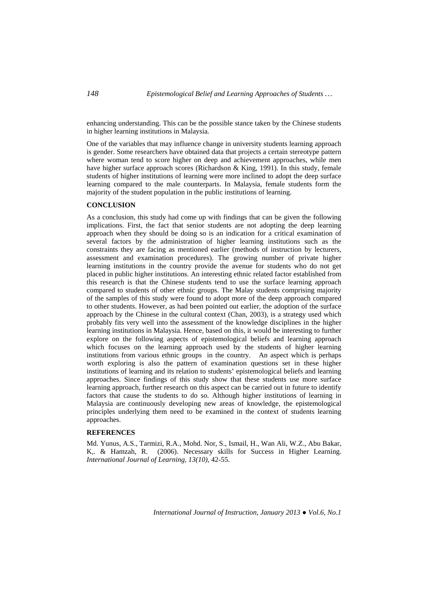enhancing understanding. This can be the possible stance taken by the Chinese students in higher learning institutions in Malaysia.

One of the variables that may influence change in university students learning approach is gender. Some researchers have obtained data that projects a certain stereotype pattern where woman tend to score higher on deep and achievement approaches, while men have higher surface approach scores (Richardson & King, 1991). In this study, female students of higher institutions of learning were more inclined to adopt the deep surface learning compared to the male counterparts. In Malaysia, female students form the majority of the student population in the public institutions of learning.

## **CONCLUSION**

As a conclusion, this study had come up with findings that can be given the following implications. First, the fact that senior students are not adopting the deep learning approach when they should be doing so is an indication for a critical examination of several factors by the administration of higher learning institutions such as the constraints they are facing as mentioned earlier (methods of instruction by lecturers, assessment and examination procedures). The growing number of private higher learning institutions in the country provide the avenue for students who do not get placed in public higher institutions. An interesting ethnic related factor established from this research is that the Chinese students tend to use the surface learning approach compared to students of other ethnic groups. The Malay students comprising majority of the samples of this study were found to adopt more of the deep approach compared to other students. However, as had been pointed out earlier, the adoption of the surface approach by the Chinese in the cultural context (Chan, 2003), is a strategy used which probably fits very well into the assessment of the knowledge disciplines in the higher learning institutions in Malaysia. Hence, based on this, it would be interesting to further explore on the following aspects of epistemological beliefs and learning approach which focuses on the learning approach used by the students of higher learning institutions from various ethnic groups in the country. An aspect which is perhaps worth exploring is also the pattern of examination questions set in these higher institutions of learning and its relation to students' epistemological beliefs and learning approaches. Since findings of this study show that these students use more surface learning approach, further research on this aspect can be carried out in future to identify factors that cause the students to do so. Although higher institutions of learning in Malaysia are continuously developing new areas of knowledge, the epistemological principles underlying them need to be examined in the context of students learning approaches.

## **REFERENCES**

Md. Yunus, A.S., Tarmizi, R.A., Mohd. Nor, S., Ismail, H., Wan Ali, W.Z., Abu Bakar, K,. & Hamzah, R. (2006). Necessary skills for Success in Higher Learning. *International Journal of Learning, 13(10),* 42-55.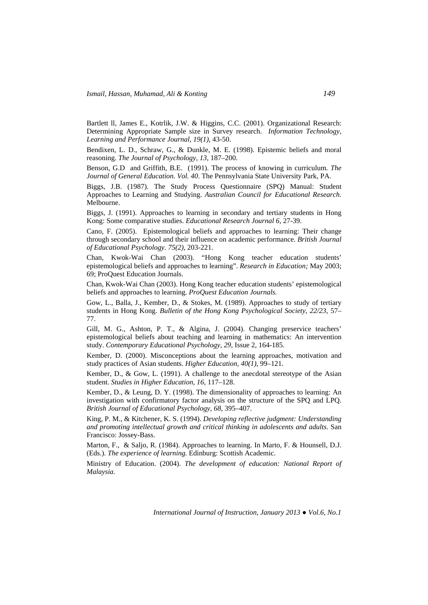Bartlett ll, James E., Kotrlik, J.W. & Higgins, C.C. (2001). Organizational Research: Determining Appropriate Sample size in Survey research. *Information Technology, Learning and Performance Journal*, *19(1)*, 43-50.

Bendixen, L. D., Schraw, G., & Dunkle, M. E. (1998). Epistemic beliefs and moral reasoning. *The Journal of Psychology, 13*, 187–200.

Benson, G.D and Griffith, B.E. (1991). The process of knowing in curriculum. *The Journal of General Education. Vol. 40*. The Pennsylvania State University Park, PA.

Biggs, J.B. (1987). The Study Process Questionnaire (SPQ) Manual: Student Approaches to Learning and Studying. *Australian Council for Educational Research.*  Melbourne.

Biggs, J. (1991). Approaches to learning in secondary and tertiary students in Hong Kong: Some comparative studies. *Educational Research Journal 6,* 27-39.

Cano, F. (2005). Epistemological beliefs and approaches to learning: Their change through secondary school and their influence on academic performance. *British Journal of Educational Psychology. 75(2),* 203-221.

Chan, Kwok-Wai Chan (2003). "Hong Kong teacher education students' epistemological beliefs and approaches to learning". *Research in Education;* May 2003; 69; ProQuest Education Journals.

Chan, Kwok-Wai Chan (2003). Hong Kong teacher education students' epistemological beliefs and approaches to learning. *ProQuest Education Journals.*

Gow, L., Balla, J., Kember, D., & Stokes, M. (1989). Approaches to study of tertiary students in Hong Kong. *Bulletin of the Hong Kong Psychological Society*, *22/23*, 57– 77.

Gill, M. G., Ashton, P. T., & Algina, J. (2004). Changing preservice teachers' epistemological beliefs about teaching and learning in mathematics: An intervention study. *Contemporary Educational Psychology, 29*, Issue 2, 164-185.

Kember, D. (2000). Misconceptions about the learning approaches, motivation and study practices of Asian students. *Higher Education, 40(1),* 99–121.

Kember, D., & Gow, L. (1991). A challenge to the anecdotal stereotype of the Asian student. *Studies in Higher Education, 16*, 117–128.

Kember, D., & Leung, D. Y. (1998). The dimensionality of approaches to learning: An investigation with confirmatory factor analysis on the structure of the SPQ and LPQ. *British Journal of Educational Psychology*, *68*, 395–407.

King, P. M., & Kitchener, K. S. (1994). *Developing reflective judgment: Understanding and promoting intellectual growth and critical thinking in adolescents and adults*. San Francisco: Jossey-Bass.

Marton, F., & Saljo, R. (1984). Approaches to learning. In Marto, F. & Hounsell, D.J. (Eds.). *The experience of learning.* Edinburg: Scottish Academic.

Ministry of Education. (2004). *The development of education: National Report of Malaysia.*